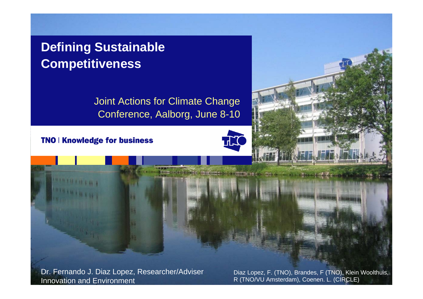### **Defining Sustainable Competitiveness**

Joint Actions for Climate Change Conference, Aalborg, June 8-10

TNO | Knowledge for business

**PERSONAL PROPERTY** 



Dr. Fernando J. Diaz Lopez, Researcher/Adviser Innovation and Environment

揖

Diaz Lopez, F. (TNO), Brandes, F (TNO), Klein Woolthuis, R (TNO/VU Amsterdam), Coenen. L. (CIRCLE)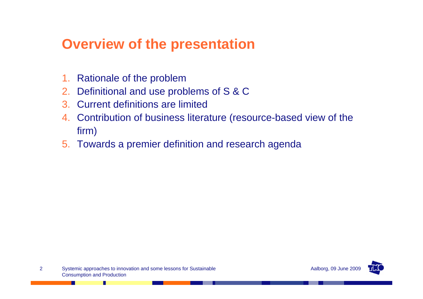# **Overview of the presentation**

- 1. Rationale of the problem
- 2. Definitional and use problems of S & C
- 3. Current definitions are limited
- 4. Contribution of business literature (resource-based view of the firm)
- 5. Towards a premier definition and research agenda

ш

H

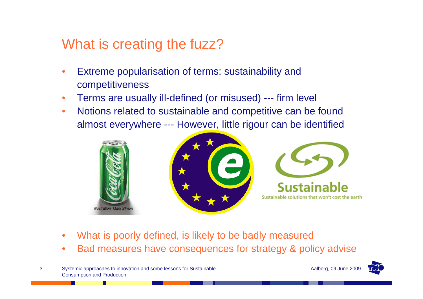## What is creating the fuzz?

- Extreme popularisation of terms: sustainability and competitiveness
- Terms are usually ill-defined (or misused) --- firm level
- Notions related to sustainable and competitive can be found almost everywhere --- However, little rigour can be identified







- What is poorly defined, is likely to be badly measured
- Bad measures have consequences for strategy & policy advise
- Systemic approaches to innovation and some lessons for Sustainable **A**alborg, 09 June 2009 Consumption and Production

п

3

ш



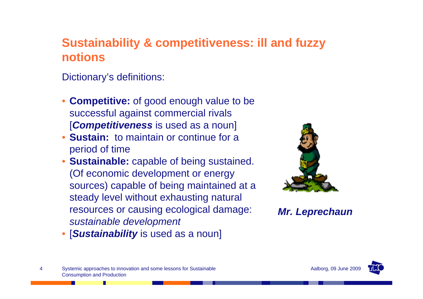### **Sustainability & competitiveness: ill and fuzzy notions**

Dictionary's definitions:

- **Competitive:** of good enough value to be successful against commercial rivals [*Competitiveness* is used as a noun]
- **Sustain:** to maintain or continue for a period of time
- **Sustainable:** capable of being sustained. (Of economic development or energy sources) capable of being maintained at a steady level without exhausting natural resources or causing ecological damage: *sustainable development*



*Mr. Leprechaun*

• [*Sustainability* is used as a noun]



п

ш

4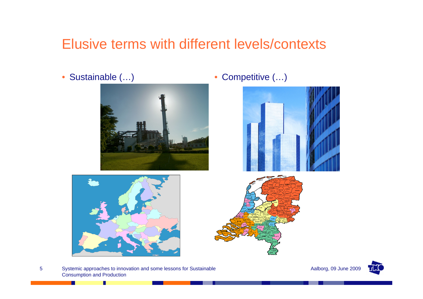# Elusive terms with different levels/contexts

• Sustainable (...) • Competitive (...)







Systemic approaches to innovation and some lessons for Sustainable Aalborg, 09 June 2009 Consumption and Production

П

ш

5

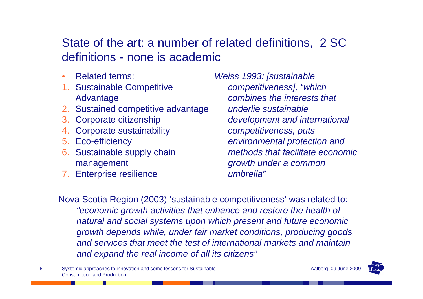#### State of the art: a number of related definitions, 2 SC definitions - none is academic

- **Related terms:**
- 1. Sustainable Competitive Advantage
- 2. Sustained competitive advantage
- 3. Corporate citizenship
- 4. Corporate sustainability
- 5. Eco-efficiency

6

- 6. Sustainable supply chain management
- 7. Enterprise resilience

*Weiss 1993: [sustainable competitiveness], "which combines the interests that underlie sustainable development and international competitiveness, puts environmental protection and methods that facilitate economic growth under a common umbrella"*

Nova Scotia Region (2003) 'sustainable competitiveness' was related to: *"economic growth activities that enhance and restore the health of natural and social systems upon which present and future economic growth depends while, under fair market conditions, producing goods and services that meet the test of international markets and maintain and expand the real income of all its citizens"*

Systemic approaches to innovation and some lessons for Sustainable **A**alborg, 09 June 2009 Consumption and Production

п

. .

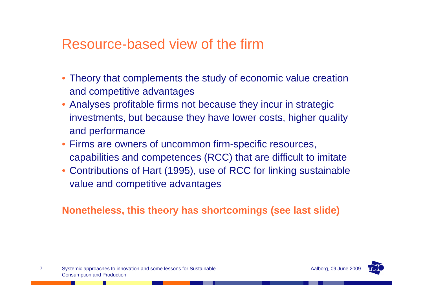### Resource-based view of the firm

- Theory that complements the study of economic value creation and competitive advantages
- Analyses profitable firms not because they incur in strategic investments, but because they have lower costs, higher quality and performance
- Firms are owners of uncommon firm-specific resources, capabilities and competences (RCC) that are difficult to imitate
- Contributions of Hart (1995), use of RCC for linking sustainable value and competitive advantages

**Nonetheless, this theory has shortcomings (see last slide)** 

Systemic approaches to innovation and some lessons for Sustainable **A**alborg, 09 June 2009 Consumption and Production

ш

7

H

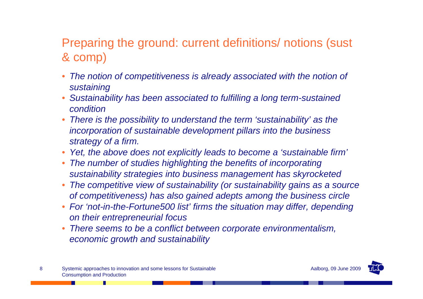### Preparing the ground: current definitions/ notions (sust & comp)

- The notion of competitiveness is already associated with the notion of *sustaining*
- *Sustainability has been associated to fulfilling a long term-sustained condition*
- *There is the possibility to understand the term 'sustainability' as the incorporation of sustainable development pillars into the business strategy of a firm.*
- *Yet, the above does not explicitly leads to become a 'sustainable firm'*
- *The number of studies highlighting the benefits of incorporating sustainability strategies into business management has skyrocketed*
- *The competitive view of sustainability (or sustainability gains as a source of competitiveness) has also gained adepts among the business circle*
- *For 'not-in-the-Fortune500 list' firms the situation may differ, depending on their entrepreneurial focus*
- *There seems to be a conflict between corporate environmentalism, economic growth and sustainability*



Ш

H

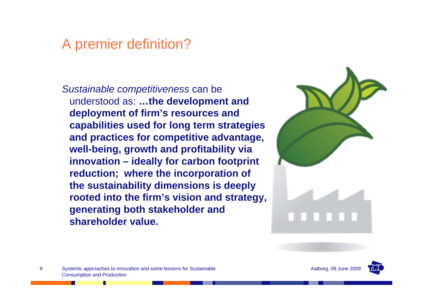# A premier definition?

*Sustainable competitiveness* can be understood as: **…the development and deployment of firm's resources and capabilities used for long term strategies and practices for competitive advantage, well-being, growth and profitability via innovation – ideally for carbon footprint reduction; where the incorporation of the sustainability dimensions is deeply rooted into the firm's vision and strategy, generating both stakeholder and shareholder value.**



Systemic approaches to innovation and some lessons for Sustainable **A**alborg, 09 June 2009 Consumption and Production

9